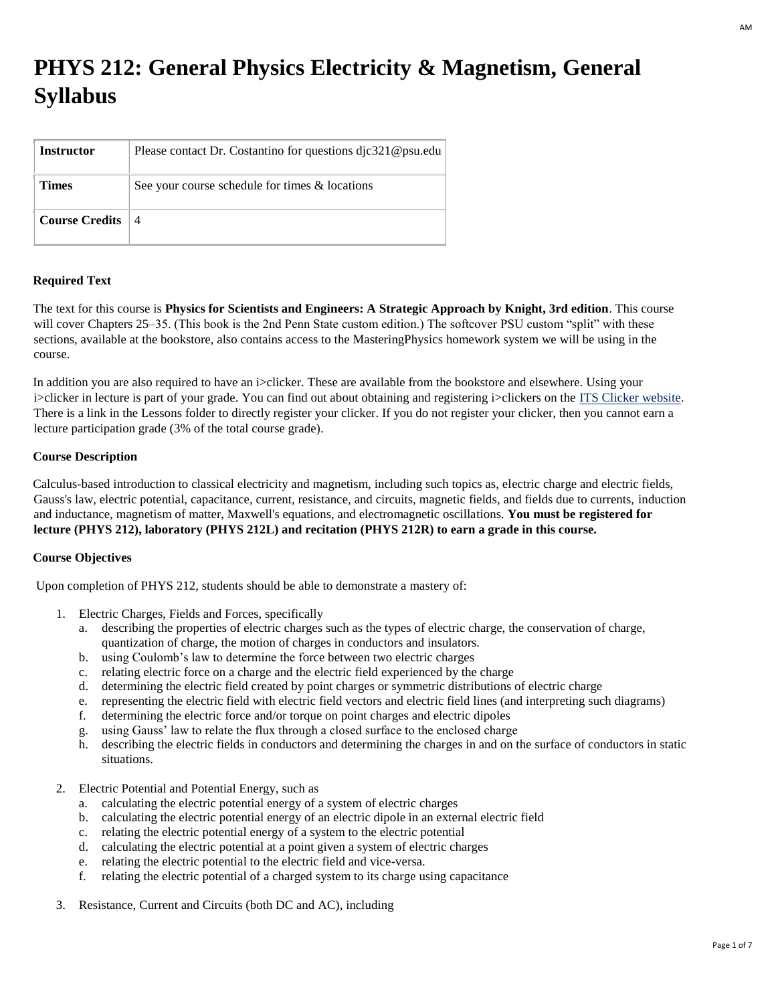# **PHYS 212: General Physics Electricity & Magnetism, General Syllabus**

| Instructor          | Please contact Dr. Costantino for questions dic321@psu.edu |
|---------------------|------------------------------------------------------------|
| <b>Times</b>        | See your course schedule for times & locations             |
| Course Credits $ 4$ |                                                            |

# **Required Text**

The text for this course is **Physics for Scientists and Engineers: A Strategic Approach by Knight, 3rd edition**. This course will cover Chapters 25–35. (This book is the 2nd Penn State custom edition.) The softcover PSU custom "split" with these sections, available at the bookstore, also contains access to the MasteringPhysics homework system we will be using in the course.

In addition you are also required to have an i>clicker. These are available from the bookstore and elsewhere. Using your i>clicker in lecture is part of your grade. You can find out about obtaining and registering i>clickers on the [ITS Clicker website.](http://clickers.psu.edu/) There is a link in the Lessons folder to directly register your clicker. If you do not register your clicker, then you cannot earn a lecture participation grade (3% of the total course grade).

## **Course Description**

Calculus-based introduction to classical electricity and magnetism, including such topics as, electric charge and electric fields, Gauss's law, electric potential, capacitance, current, resistance, and circuits, magnetic fields, and fields due to currents, induction and inductance, magnetism of matter, Maxwell's equations, and electromagnetic oscillations. **You must be registered for lecture (PHYS 212), laboratory (PHYS 212L) and recitation (PHYS 212R) to earn a grade in this course.**

## **Course Objectives**

Upon completion of PHYS 212, students should be able to demonstrate a mastery of:

- 1. Electric Charges, Fields and Forces, specifically
	- a. describing the properties of electric charges such as the types of electric charge, the conservation of charge, quantization of charge, the motion of charges in conductors and insulators.
	- b. using Coulomb's law to determine the force between two electric charges
	- c. relating electric force on a charge and the electric field experienced by the charge
	- d. determining the electric field created by point charges or symmetric distributions of electric charge
	- e. representing the electric field with electric field vectors and electric field lines (and interpreting such diagrams)
	- f. determining the electric force and/or torque on point charges and electric dipoles
	- g. using Gauss' law to relate the flux through a closed surface to the enclosed charge
	- h. describing the electric fields in conductors and determining the charges in and on the surface of conductors in static situations.
- 2. Electric Potential and Potential Energy, such as
	- a. calculating the electric potential energy of a system of electric charges
	- b. calculating the electric potential energy of an electric dipole in an external electric field
	- c. relating the electric potential energy of a system to the electric potential
	- d. calculating the electric potential at a point given a system of electric charges
	- e. relating the electric potential to the electric field and vice-versa.
	- f. relating the electric potential of a charged system to its charge using capacitance
- 3. Resistance, Current and Circuits (both DC and AC), including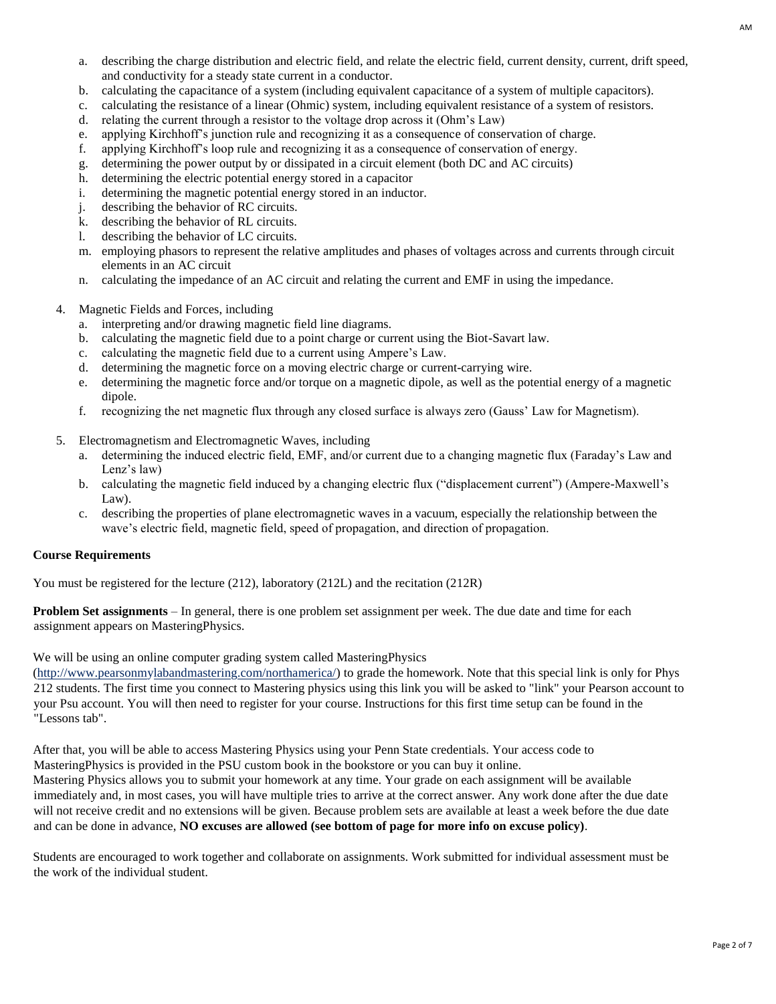- a. describing the charge distribution and electric field, and relate the electric field, current density, current, drift speed, and conductivity for a steady state current in a conductor.
- b. calculating the capacitance of a system (including equivalent capacitance of a system of multiple capacitors).
- c. calculating the resistance of a linear (Ohmic) system, including equivalent resistance of a system of resistors.
- d. relating the current through a resistor to the voltage drop across it (Ohm's Law)
- e. applying Kirchhoff's junction rule and recognizing it as a consequence of conservation of charge.
- f. applying Kirchhoff's loop rule and recognizing it as a consequence of conservation of energy.
- g. determining the power output by or dissipated in a circuit element (both DC and AC circuits)
- h. determining the electric potential energy stored in a capacitor
- i. determining the magnetic potential energy stored in an inductor.
- j. describing the behavior of RC circuits.
- k. describing the behavior of RL circuits.
- l. describing the behavior of LC circuits.
- m. employing phasors to represent the relative amplitudes and phases of voltages across and currents through circuit elements in an AC circuit
- n. calculating the impedance of an AC circuit and relating the current and EMF in using the impedance.
- 4. Magnetic Fields and Forces, including
	- a. interpreting and/or drawing magnetic field line diagrams.
	- b. calculating the magnetic field due to a point charge or current using the Biot-Savart law.
	- c. calculating the magnetic field due to a current using Ampere's Law.
	- d. determining the magnetic force on a moving electric charge or current-carrying wire.
	- e. determining the magnetic force and/or torque on a magnetic dipole, as well as the potential energy of a magnetic dipole.
	- f. recognizing the net magnetic flux through any closed surface is always zero (Gauss' Law for Magnetism).
- 5. Electromagnetism and Electromagnetic Waves, including
	- a. determining the induced electric field, EMF, and/or current due to a changing magnetic flux (Faraday's Law and Lenz's law)
	- b. calculating the magnetic field induced by a changing electric flux ("displacement current") (Ampere-Maxwell's Law).
	- c. describing the properties of plane electromagnetic waves in a vacuum, especially the relationship between the wave's electric field, magnetic field, speed of propagation, and direction of propagation.

## **Course Requirements**

You must be registered for the lecture (212), laboratory (212L) and the recitation (212R)

**Problem Set assignments** – In general, there is one problem set assignment per week. The due date and time for each assignment appears on MasteringPhysics.

We will be using an online computer grading system called MasteringPhysics

[\(http://www.pearsonmylabandmastering.com/northamerica/\)](http://www.pearsonmylabandmastering.com/northamerica/) to grade the homework. Note that this special link is only for Phys 212 students. The first time you connect to Mastering physics using this link you will be asked to "link" your Pearson account to your Psu account. You will then need to register for your course. Instructions for this first time setup can be found in the "Lessons tab".

After that, you will be able to access Mastering Physics using your Penn State credentials. Your access code to MasteringPhysics is provided in the PSU custom book in the bookstore or you can buy it online.

Mastering Physics allows you to submit your homework at any time. Your grade on each assignment will be available immediately and, in most cases, you will have multiple tries to arrive at the correct answer. Any work done after the due date will not receive credit and no extensions will be given. Because problem sets are available at least a week before the due date and can be done in advance, **NO excuses are allowed (see bottom of page for more info on excuse policy)**.

Students are encouraged to work together and collaborate on assignments. Work submitted for individual assessment must be the work of the individual student.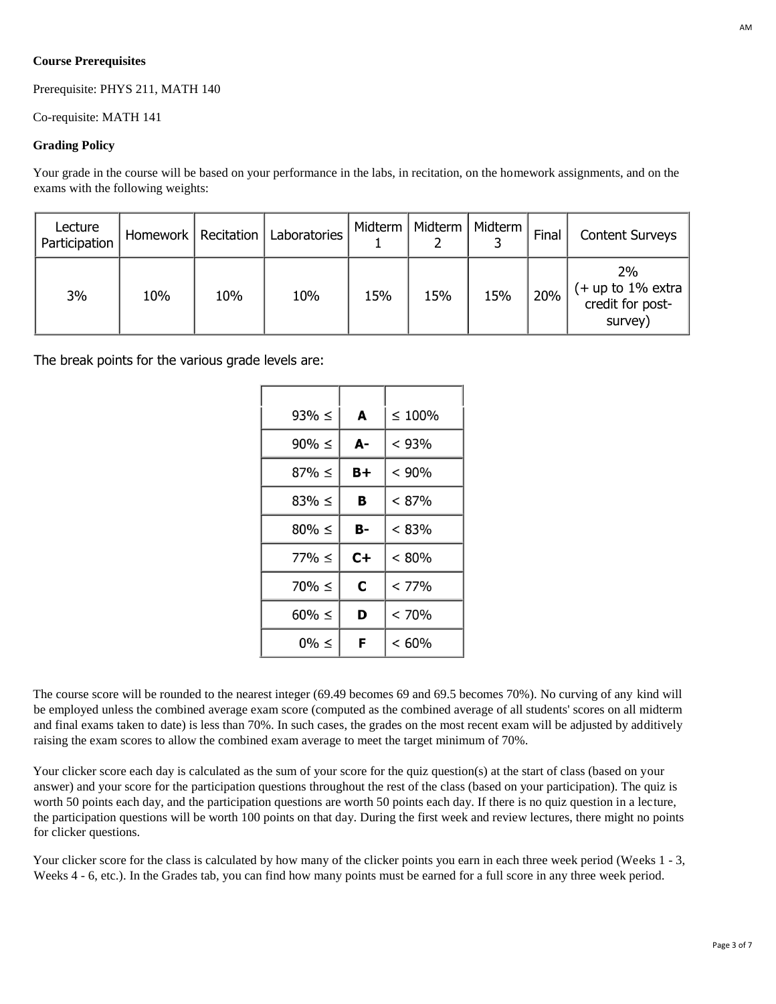## **Course Prerequisites**

Prerequisite: PHYS 211, MATH 140

Co-requisite: MATH 141

#### **Grading Policy**

Your grade in the course will be based on your performance in the labs, in recitation, on the homework assignments, and on the exams with the following weights:

| Lecture<br>Participation |     | Homework   Recitation | Laboratories | Midterm | Midterm | Midterm | Final | <b>Content Surveys</b>                                    |
|--------------------------|-----|-----------------------|--------------|---------|---------|---------|-------|-----------------------------------------------------------|
| 3%                       | 10% | 10%                   | 10%          | 15%     | 15%     | 15%     | 20%   | 2%<br>$($ + up to 1% extra<br>credit for post-<br>survey) |

The break points for the various grade levels are:

| $93\% \leq$ | A           | $\leq 100\%$ |
|-------------|-------------|--------------|
| $90\% \leq$ | A-          | < 93%        |
| $87\% \leq$ | $B +$       | < 90%        |
| $83\% \leq$ | в           | $< 87\%$     |
| $80\% \leq$ | B-          | < 83%        |
| $77\% \le$  | $C +$       | < 80%        |
| $70\% \leq$ | $\mathbf C$ | < 77%        |
| $60\% \leq$ | D           | < 70%        |
| $0\% \leq$  | F           | < 60%        |

The course score will be rounded to the nearest integer (69.49 becomes 69 and 69.5 becomes 70%). No curving of any kind will be employed unless the combined average exam score (computed as the combined average of all students' scores on all midterm and final exams taken to date) is less than 70%. In such cases, the grades on the most recent exam will be adjusted by additively raising the exam scores to allow the combined exam average to meet the target minimum of 70%.

Your clicker score each day is calculated as the sum of your score for the quiz question(s) at the start of class (based on your answer) and your score for the participation questions throughout the rest of the class (based on your participation). The quiz is worth 50 points each day, and the participation questions are worth 50 points each day. If there is no quiz question in a lecture, the participation questions will be worth 100 points on that day. During the first week and review lectures, there might no points for clicker questions.

Your clicker score for the class is calculated by how many of the clicker points you earn in each three week period (Weeks 1 - 3, Weeks 4 - 6, etc.). In the Grades tab, you can find how many points must be earned for a full score in any three week period.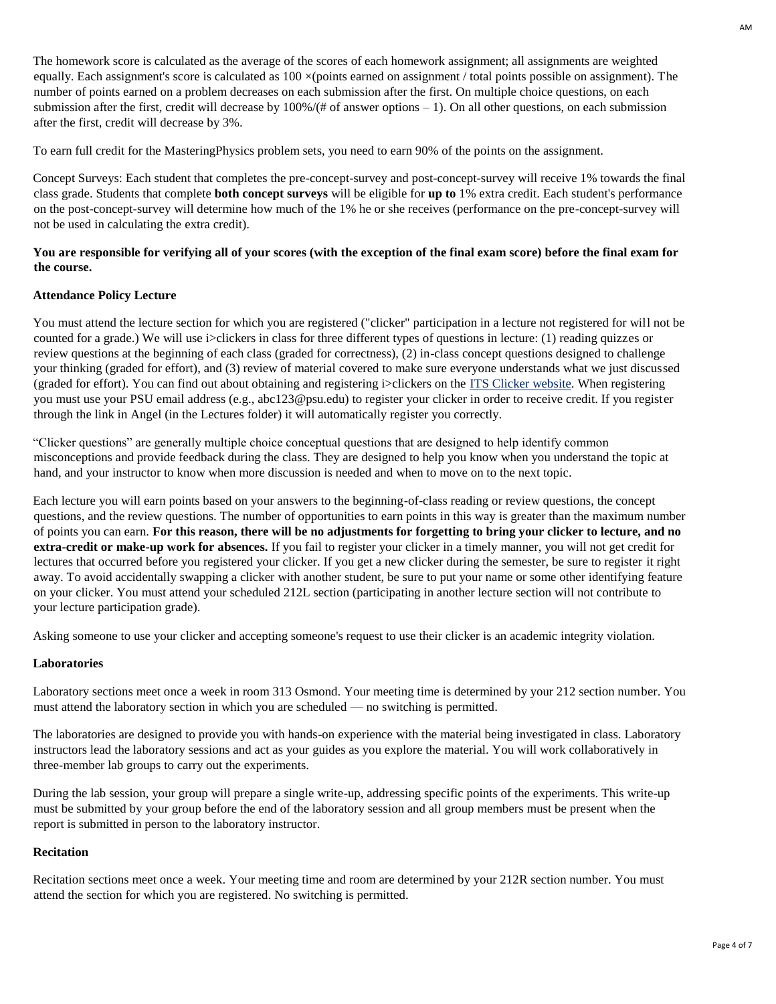The homework score is calculated as the average of the scores of each homework assignment; all assignments are weighted equally. Each assignment's score is calculated as  $100 \times (points$  earned on assignment / total points possible on assignment). The number of points earned on a problem decreases on each submission after the first. On multiple choice questions, on each submission after the first, credit will decrease by  $100\% / (\# \text{ of answer options} - 1)$ . On all other questions, on each submission after the first, credit will decrease by 3%.

To earn full credit for the MasteringPhysics problem sets, you need to earn 90% of the points on the assignment.

Concept Surveys: Each student that completes the pre-concept-survey and post-concept-survey will receive 1% towards the final class grade. Students that complete **both concept surveys** will be eligible for **up to** 1% extra credit. Each student's performance on the post-concept-survey will determine how much of the 1% he or she receives (performance on the pre-concept-survey will not be used in calculating the extra credit).

## **You are responsible for verifying all of your scores (with the exception of the final exam score) before the final exam for the course.**

## **Attendance Policy Lecture**

You must attend the lecture section for which you are registered ("clicker" participation in a lecture not registered for will not be counted for a grade.) We will use i>clickers in class for three different types of questions in lecture: (1) reading quizzes or review questions at the beginning of each class (graded for correctness), (2) in-class concept questions designed to challenge your thinking (graded for effort), and (3) review of material covered to make sure everyone understands what we just discussed (graded for effort). You can find out about obtaining and registering i>clickers on the [ITS Clicker website.](http://clc.its.psu.edu/classrooms/resources/clickers/started/students) When registering you must use your PSU email address (e.g., abc123@psu.edu) to register your clicker in order to receive credit. If you register through the link in Angel (in the Lectures folder) it will automatically register you correctly.

"Clicker questions" are generally multiple choice conceptual questions that are designed to help identify common misconceptions and provide feedback during the class. They are designed to help you know when you understand the topic at hand, and your instructor to know when more discussion is needed and when to move on to the next topic.

Each lecture you will earn points based on your answers to the beginning-of-class reading or review questions, the concept questions, and the review questions. The number of opportunities to earn points in this way is greater than the maximum number of points you can earn. **For this reason, there will be no adjustments for forgetting to bring your clicker to lecture, and no extra-credit or make-up work for absences.** If you fail to register your clicker in a timely manner, you will not get credit for lectures that occurred before you registered your clicker. If you get a new clicker during the semester, be sure to register it right away. To avoid accidentally swapping a clicker with another student, be sure to put your name or some other identifying feature on your clicker. You must attend your scheduled 212L section (participating in another lecture section will not contribute to your lecture participation grade).

Asking someone to use your clicker and accepting someone's request to use their clicker is an academic integrity violation.

#### **Laboratories**

Laboratory sections meet once a week in room 313 Osmond. Your meeting time is determined by your 212 section number. You must attend the laboratory section in which you are scheduled — no switching is permitted.

The laboratories are designed to provide you with hands-on experience with the material being investigated in class. Laboratory instructors lead the laboratory sessions and act as your guides as you explore the material. You will work collaboratively in three-member lab groups to carry out the experiments.

During the lab session, your group will prepare a single write-up, addressing specific points of the experiments. This write-up must be submitted by your group before the end of the laboratory session and all group members must be present when the report is submitted in person to the laboratory instructor.

#### **Recitation**

Recitation sections meet once a week. Your meeting time and room are determined by your 212R section number. You must attend the section for which you are registered. No switching is permitted.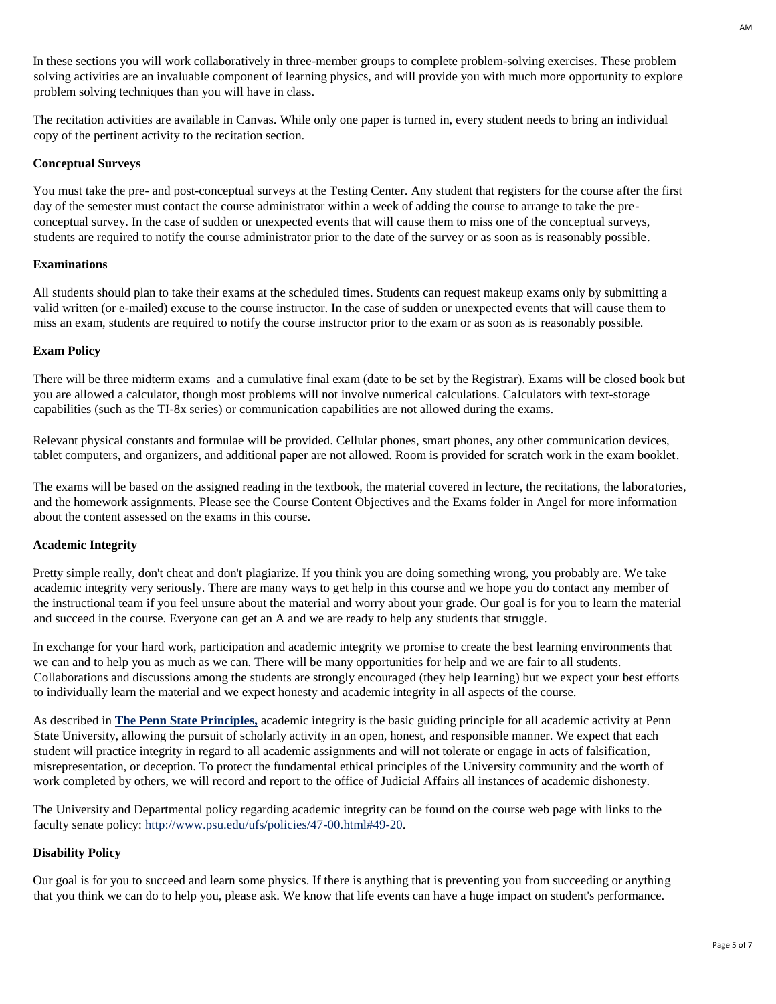In these sections you will work collaboratively in three-member groups to complete problem-solving exercises. These problem solving activities are an invaluable component of learning physics, and will provide you with much more opportunity to explore problem solving techniques than you will have in class.

The recitation activities are available in Canvas. While only one paper is turned in, every student needs to bring an individual copy of the pertinent activity to the recitation section.

## **Conceptual Surveys**

You must take the pre- and post-conceptual surveys at the Testing Center. Any student that registers for the course after the first day of the semester must contact the course administrator within a week of adding the course to arrange to take the preconceptual survey. In the case of sudden or unexpected events that will cause them to miss one of the conceptual surveys, students are required to notify the course administrator prior to the date of the survey or as soon as is reasonably possible.

## **Examinations**

All students should plan to take their exams at the scheduled times. Students can request makeup exams only by submitting a valid written (or e-mailed) excuse to the course instructor. In the case of sudden or unexpected events that will cause them to miss an exam, students are required to notify the course instructor prior to the exam or as soon as is reasonably possible.

#### **Exam Policy**

There will be three midterm exams and a cumulative final exam (date to be set by the Registrar). Exams will be closed book but you are allowed a calculator, though most problems will not involve numerical calculations. Calculators with text-storage capabilities (such as the TI-8x series) or communication capabilities are not allowed during the exams.

Relevant physical constants and formulae will be provided. Cellular phones, smart phones, any other communication devices, tablet computers, and organizers, and additional paper are not allowed. Room is provided for scratch work in the exam booklet.

The exams will be based on the assigned reading in the textbook, the material covered in lecture, the recitations, the laboratories, and the homework assignments. Please see the Course Content Objectives and the Exams folder in Angel for more information about the content assessed on the exams in this course.

## **Academic Integrity**

Pretty simple really, don't cheat and don't plagiarize. If you think you are doing something wrong, you probably are. We take academic integrity very seriously. There are many ways to get help in this course and we hope you do contact any member of the instructional team if you feel unsure about the material and worry about your grade. Our goal is for you to learn the material and succeed in the course. Everyone can get an A and we are ready to help any students that struggle.

In exchange for your hard work, participation and academic integrity we promise to create the best learning environments that we can and to help you as much as we can. There will be many opportunities for help and we are fair to all students. Collaborations and discussions among the students are strongly encouraged (they help learning) but we expect your best efforts to individually learn the material and we expect honesty and academic integrity in all aspects of the course.

As described in **[The Penn State Principles,](http://www.psu.edu/ur/principles.pdf)** academic integrity is the basic guiding principle for all academic activity at Penn State University, allowing the pursuit of scholarly activity in an open, honest, and responsible manner. We expect that each student will practice integrity in regard to all academic assignments and will not tolerate or engage in acts of falsification, misrepresentation, or deception. To protect the fundamental ethical principles of the University community and the worth of work completed by others, we will record and report to the office of Judicial Affairs all instances of academic dishonesty.

The University and Departmental policy regarding academic integrity can be found on the course web page with links to the faculty senate policy[: http://www.psu.edu/ufs/policies/47-00.html#49-20.](http://www.psu.edu/ufs/policies/47-00.html#49-20)

## **Disability Policy**

Our goal is for you to succeed and learn some physics. If there is anything that is preventing you from succeeding or anything that you think we can do to help you, please ask. We know that life events can have a huge impact on student's performance.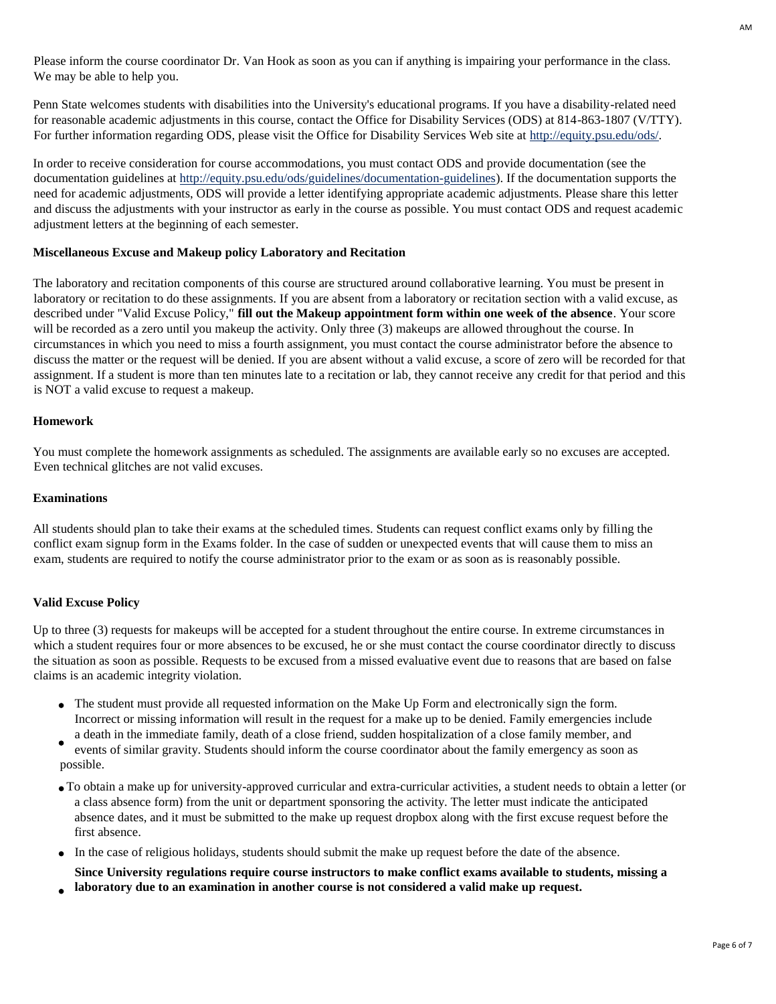Please inform the course coordinator Dr. Van Hook as soon as you can if anything is impairing your performance in the class. We may be able to help you.

Penn State welcomes students with disabilities into the University's educational programs. If you have a disability-related need for reasonable academic adjustments in this course, contact the Office for Disability Services (ODS) at 814-863-1807 (V/TTY). For further information regarding ODS, please visit the Office for Disability Services Web site at [http://equity.psu.edu/ods/.](http://equity.psu.edu/ods/)

In order to receive consideration for course accommodations, you must contact ODS and provide documentation (see the documentation guidelines at [http://equity.psu.edu/ods/guidelines/documentation-guidelines\).](http://equity.psu.edu/ods/guidelines/documentation-guidelines) If the documentation supports the need for academic adjustments, ODS will provide a letter identifying appropriate academic adjustments. Please share this letter and discuss the adjustments with your instructor as early in the course as possible. You must contact ODS and request academic adjustment letters at the beginning of each semester.

#### **Miscellaneous Excuse and Makeup policy Laboratory and Recitation**

The laboratory and recitation components of this course are structured around collaborative learning. You must be present in laboratory or recitation to do these assignments. If you are absent from a laboratory or recitation section with a valid excuse, as described under "Valid Excuse Policy," **fill out the Makeup appointment form within one week of the absence**. Your score will be recorded as a zero until you makeup the activity. Only three (3) makeups are allowed throughout the course. In circumstances in which you need to miss a fourth assignment, you must contact the course administrator before the absence to discuss the matter or the request will be denied. If you are absent without a valid excuse, a score of zero will be recorded for that assignment. If a student is more than ten minutes late to a recitation or lab, they cannot receive any credit for that period and this is NOT a valid excuse to request a makeup.

#### **Homework**

You must complete the homework assignments as scheduled. The assignments are available early so no excuses are accepted. Even technical glitches are not valid excuses.

#### **Examinations**

All students should plan to take their exams at the scheduled times. Students can request conflict exams only by filling the conflict exam signup form in the Exams folder. In the case of sudden or unexpected events that will cause them to miss an exam, students are required to notify the course administrator prior to the exam or as soon as is reasonably possible.

## **Valid Excuse Policy**

Up to three (3) requests for makeups will be accepted for a student throughout the entire course. In extreme circumstances in which a student requires four or more absences to be excused, he or she must contact the course coordinator directly to discuss the situation as soon as possible. Requests to be excused from a missed evaluative event due to reasons that are based on false claims is an academic integrity violation.

- The student must provide all requested information on the Make Up Form and electronically sign the form. Incorrect or missing information will result in the request for a make up to be denied. Family emergencies include a death in the immediate family, death of a close friend, sudden hospitalization of a close family member, and
- events of similar gravity. Students should inform the course coordinator about the family emergency as soon as possible.
- To obtain a make up for university-approved curricular and extra-curricular activities, a student needs to obtain a letter (or a class absence form) from the unit or department sponsoring the activity. The letter must indicate the anticipated absence dates, and it must be submitted to the make up request dropbox along with the first excuse request before the first absence.
- In the case of religious holidays, students should submit the make up request before the date of the absence.
- **Since University regulations require course instructors to make conflict exams available to students, missing a laboratory due to an examination in another course is not considered a valid make up request.**